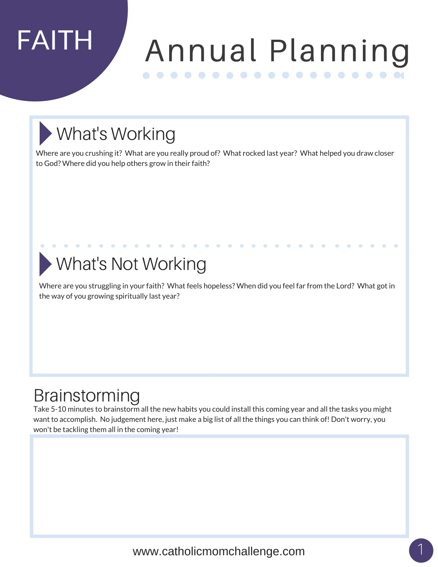## FAITH Annual Planning

### What's Working

Where are you crushing it? What are you really proud of? What rocked last year? What helped you draw closer to God? Where did you help others grow in their faith?

### What's Not Working

Where are you struggling in your faith? What feels hopeless? When did you feel far from the Lord? What got in the way of you growing spiritually last year?

#### Brainstorming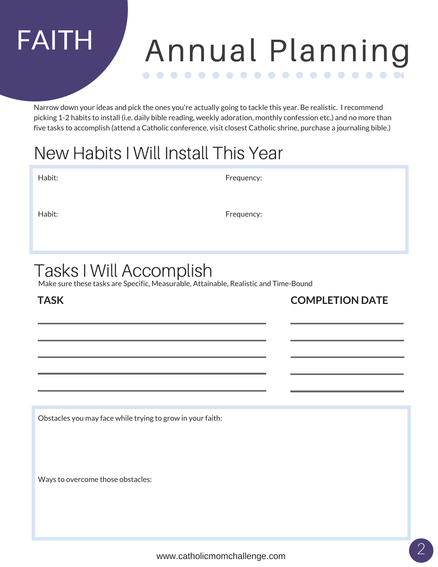## FAITH Annual Planning

Narrow down your ideas and pick the ones you're actually going to tackle this year. Be realistic. I recommend picking 1-2 habits to install (i.e. daily bible reading, weekly adoration, monthly confession etc.) and no more than five tasks to accomplish (attend a Catholic conference, visit closest Catholic shrine, purchase a journaling bible.)

#### New Habits I Will Install This Year

Habit: Frequency:

Habit: Frequency:

#### Tasks I Will Accomplish

Make sure these tasks are Specific, Measurable, Attainable, Realistic and Time-Bound

**TASK**

**COMPLETION DATE**

Obstacles you may face while trying to grow in your faith: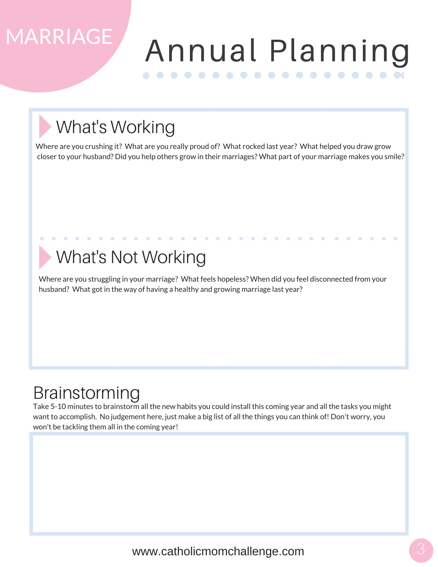## MARRIAGE

### Annual Planning

### What's Working

Where are you crushing it? What are you really proud of? What rocked last year? What helped you draw grow closer to your husband? Did you help others grow in their marriages? What part of your marriage makes you smile?

#### What's Not Working

Where are you struggling in your marriage? What feels hopeless? When did you feel disconnected from your husband? What got in the way of having a healthy and growing marriage last year?

#### Brainstorming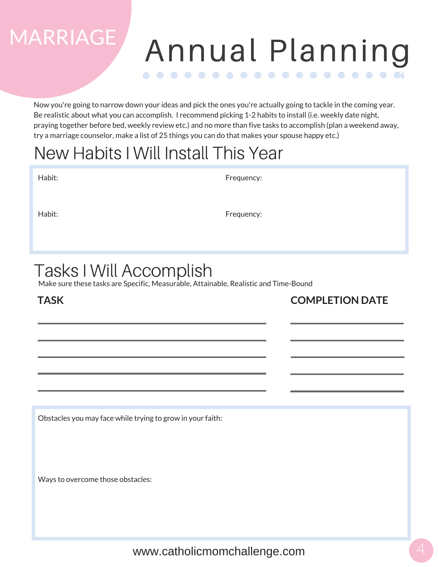### Annual Planning

Now you're going to narrow down your ideas and pick the ones you're actually going to tackle in the coming year. Be realistic about what you can accomplish. I recommend picking 1-2 habits to install (i.e. weekly date night, praying together before bed, weekly review etc.) and no more than five tasks to accomplish (plan a weekend away, try a marriage counselor, make a list of 25 things you can do that makes your spouse happy etc.)

#### New Habits I Will Install This Year

| Habit: | Frequency: |
|--------|------------|
| Habit: | Frequency: |
|        |            |

#### Tasks I Will Accomplish

Make sure these tasks are Specific, Measurable, Attainable, Realistic and Time-Bound

#### **TASK**

MARRIAGE

**COMPLETION DATE**

Obstacles you may face while trying to grow in your faith: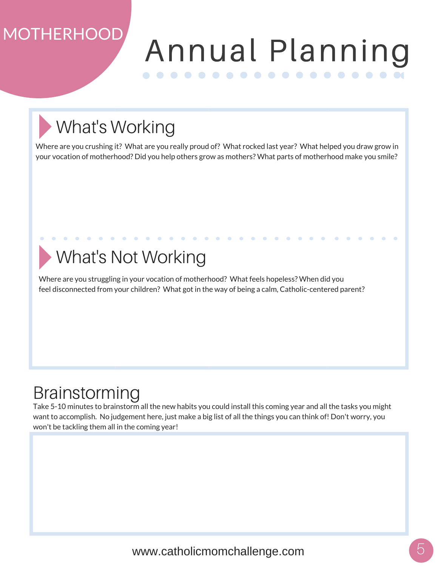## MOTHERHOOD

### Annual Planning

## What's Working

Where are you crushing it? What are you really proud of? What rocked last year? What helped you draw grow in your vocation of motherhood? Did you help others grow as mothers? What parts of motherhood make you smile?

#### What's Not Working

Where are you struggling in your vocation of motherhood? What feels hopeless? When did you feel disconnected from your children? What got in the way of being a calm, Catholic-centered parent?

#### Brainstorming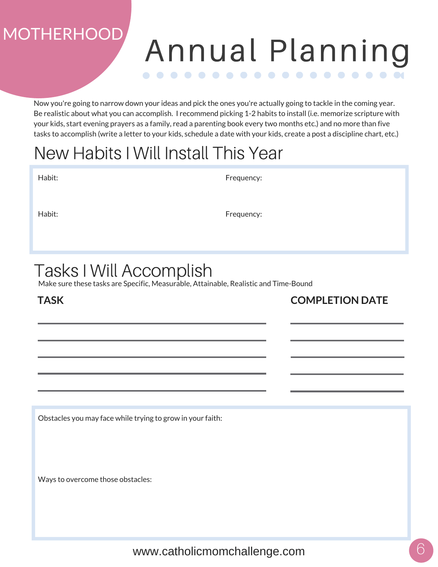## MOTHERHOOD

#### Annual Planning

Now you're going to narrow down your ideas and pick the ones you're actually going to tackle in the coming year. Be realistic about what you can accomplish. I recommend picking 1-2 habits to install (i.e. memorize scripture with your kids, start evening prayers as a family, read a parenting book every two months etc.) and no more than five tasks to accomplish (write a letter to your kids, schedule a date with your kids, create a post a discipline chart, etc.)

#### New Habits I Will Install This Year

| Habit: | Frequency: |
|--------|------------|
| Habit: | Frequency: |

#### Tasks I Will Accomplish

Make sure these tasks are Specific, Measurable, Attainable, Realistic and Time-Bound

#### **TASK**

**COMPLETION DATE**

Obstacles you may face while trying to grow in your faith: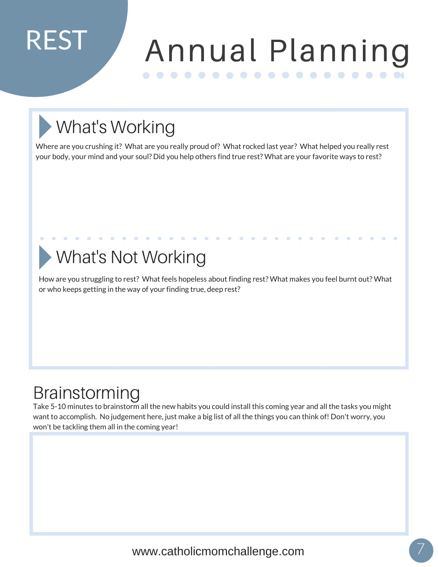## REST

### Annual Planning

## What's Working

Where are you crushing it? What are you really proud of? What rocked last year? What helped you really rest your body, your mind and your soul? Did you help others find true rest? What are your favorite ways to rest?

#### What's Not Working

How are you struggling to rest? What feels hopeless about finding rest? What makes you feel burnt out? What or who keeps getting in the way of your finding true, deep rest?

#### Brainstorming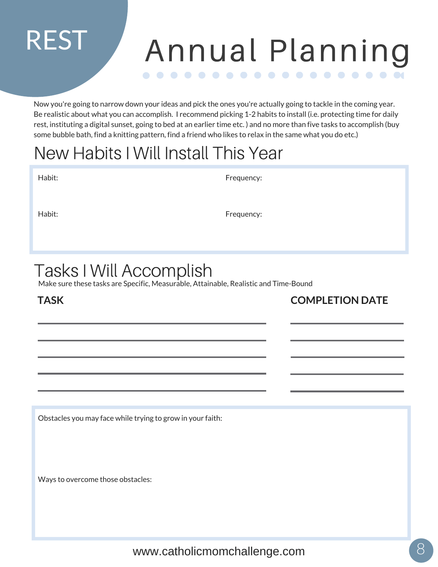#### Annual Planning . . . . . . . . . . . . . . .

Now you're going to narrow down your ideas and pick the ones you're actually going to tackle in the coming year. Be realistic about what you can accomplish. I recommend picking 1-2 habits to install (i.e. protecting time for daily rest, instituting a digital sunset, going to bed at an earlier time etc. ) and no more than five tasks to accomplish (buy some bubble bath, find a knitting pattern, find a friend who likes to relax in the same what you do etc.)

#### New Habits I Will Install This Year

| Habit: | Frequency: |
|--------|------------|
| Habit: | Frequency: |

#### Tasks I Will Accomplish

Make sure these tasks are Specific, Measurable, Attainable, Realistic and Time-Bound

#### **TASK**

REST

**COMPLETION DATE**

Obstacles you may face while trying to grow in your faith: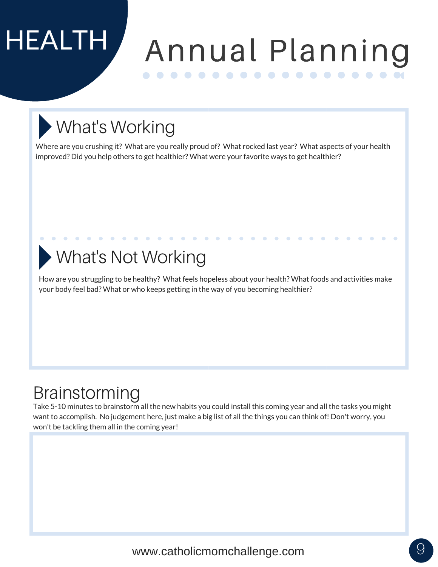# HEALTH

### Annual Planning

## What's Working

Where are you crushing it? What are you really proud of? What rocked last year? What aspects of your health improved? Did you help others to get healthier? What were your favorite ways to get healthier?

#### What's Not Working

How are you struggling to be healthy? What feels hopeless about your health? What foods and activities make your body feel bad? What or who keeps getting in the way of you becoming healthier?

#### Brainstorming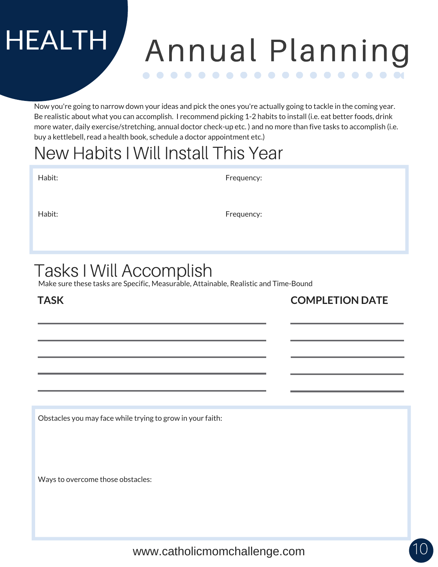#### Annual Planning

Now you're going to narrow down your ideas and pick the ones you're actually going to tackle in the coming year. Be realistic about what you can accomplish. I recommend picking 1-2 habits to install (i.e. eat better foods, drink more water, daily exercise/stretching, annual doctor check-up etc. ) and no more than five tasks to accomplish (i.e. buy a kettlebell, read a health book, schedule a doctor appointment etc.)

#### New Habits I Will Install This Year

| Habit: | Frequency: |
|--------|------------|
| Habit: | Frequency: |

#### Tasks I Will Accomplish

Make sure these tasks are Specific, Measurable, Attainable, Realistic and Time-Bound

#### **TASK**

HEALTH

**COMPLETION DATE**

Obstacles you may face while trying to grow in your faith: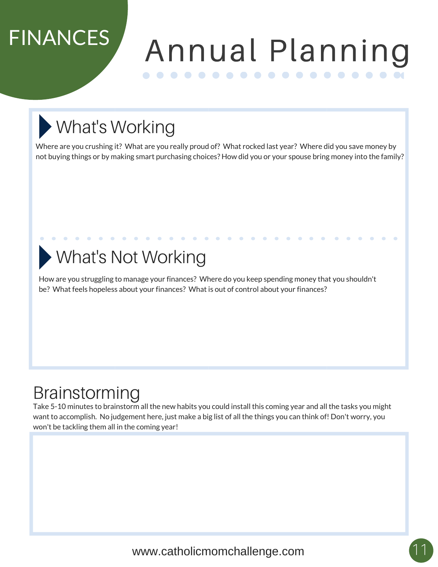## FINANCES

### Annual Planning

## What's Working

Where are you crushing it? What are you really proud of? What rocked last year? Where did you save money by not buying things or by making smart purchasing choices? How did you or your spouse bring money into the family?

#### What's Not Working

How are you struggling to manage your finances? Where do you keep spending money that you shouldn't be? What feels hopeless about your finances? What is out of control about your finances?

#### Brainstorming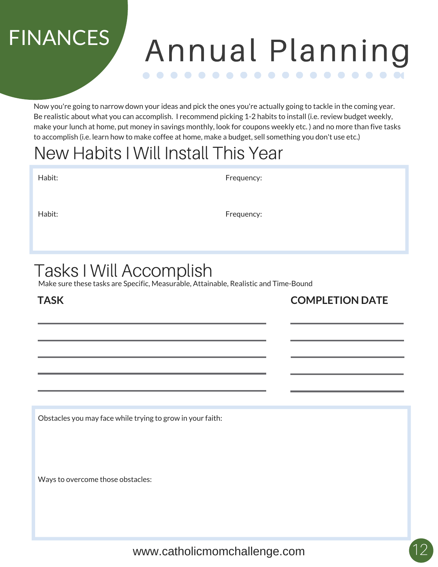## FINANCES

#### Annual Planning . . . . . . . . . . . . . .

Now you're going to narrow down your ideas and pick the ones you're actually going to tackle in the coming year. Be realistic about what you can accomplish. I recommend picking 1-2 habits to install (i.e. review budget weekly, make your lunch at home, put money in savings monthly, look for coupons weekly etc. ) and no more than five tasks to accomplish (i.e. learn how to make coffee at home, make a budget, sell something you don't use etc.)

#### New Habits I Will Install This Year

| Habit: |  |
|--------|--|

Frequency:

Habit: Frequency:

#### Tasks I Will Accomplish

Make sure these tasks are Specific, Measurable, Attainable, Realistic and Time-Bound

#### **TASK**

**COMPLETION DATE**

Obstacles you may face while trying to grow in your faith: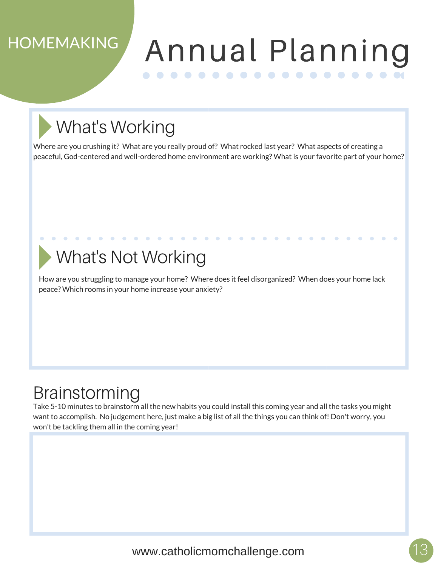#### **HOMEMAKING**

#### Annual Planning

### What's Working

Where are you crushing it? What are you really proud of? What rocked last year? What aspects of creating a peaceful, God-centered and well-ordered home environment are working? What is your favorite part of your home?

#### What's Not Working

How are you struggling to manage your home? Where does it feel disorganized? When does your home lack peace? Which rooms in your home increase your anxiety?

#### Brainstorming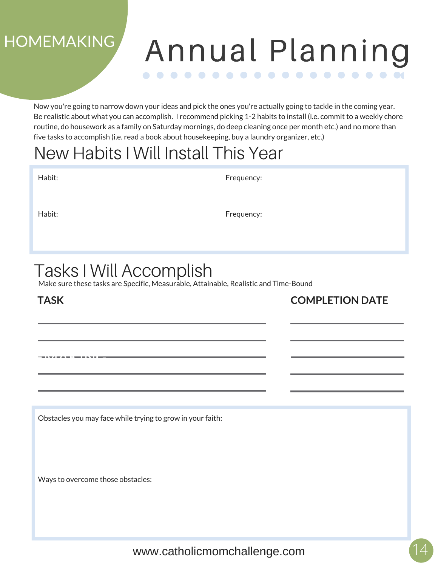#### **HOMEMAKING**

#### Annual Planning . . . . . .  $\bullet\bullet\bullet\bullet\bullet\bullet$

Now you're going to narrow down your ideas and pick the ones you're actually going to tackle in the coming year. Be realistic about what you can accomplish. I recommend picking 1-2 habits to install (i.e. commit to a weekly chore routine, do housework as a family on Saturday mornings, do deep cleaning once per month etc.) and no more than five tasks to accomplish (i.e. read a book about housekeeping, buy a laundry organizer, etc.)

#### New Habits I Will Install This Year

| Habit: | Frequency: |
|--------|------------|
| Habit: | Frequency: |
|        |            |

#### Tasks I Will Accomplish

Make sure these tasks are Specific, Measurable, Attainable, Realistic and Time-Bound

#### **TASK**

**HAVITAL KE EATLES** 

**COMPLETION DATE**

Obstacles you may face while trying to grow in your faith: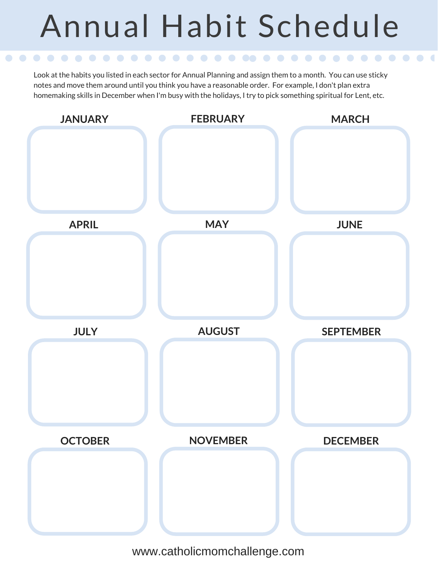## Annual Habit Schedule

Look at the habits you listed in each sector for Annual Planning and assign them to a month. You can use sticky notes and move them around until you think you have a reasonable order. For example, I don't plan extra homemaking skills in December when I'm busy with the holidays, I try to pick something spiritual for Lent, etc.

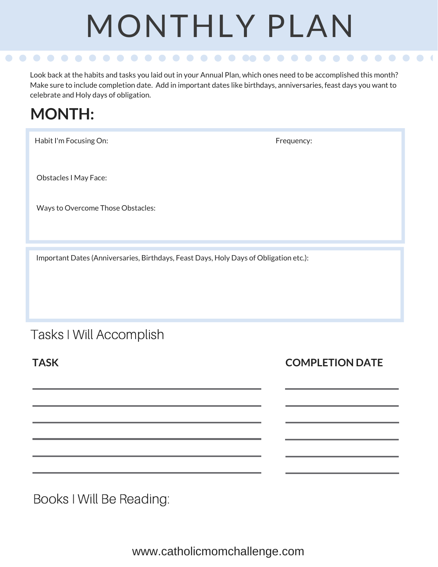# MONTHLY PLAN

Look back at the habits and tasks you laid out in your Annual Plan, which ones need to be accomplished this month? Make sure to include completion date. Add in important dates like birthdays, anniversaries, feast days you want to celebrate and Holy days of obligation.

#### **MONTH:**

Habit I'm Focusing On: Frequency: Frequency:

Obstacles I May Face:

Ways to Overcome Those Obstacles:

Important Dates (Anniversaries, Birthdays, Feast Days, Holy Days of Obligation etc.):

#### Tasks I Will Accomplish

**TASK**

**COMPLETION DATE**

Books I Will Be Reading: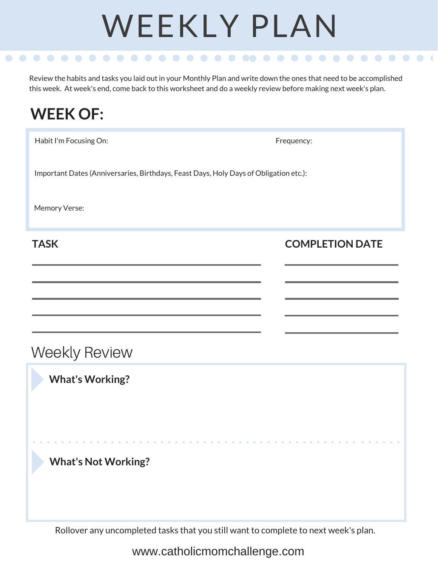# WEEKLY PLAN

Review the habits and tasks you laid out in your Monthly Plan and write down the ones that need to be accomplished this week. At week's end, come back to this worksheet and do a weekly review before making next week's plan.

# **WEEK OF:** Habit I'm Focusing On: Frequency: Frequency: Important Dates (Anniversaries, Birthdays, Feast Days, Holy Days of Obligation etc.): Memory Verse: **TASK What's Working? What's Not Working?** Weekly Review **COMPLETION DATE**

Rollover any uncompleted tasks that you still want to complete to next week's plan.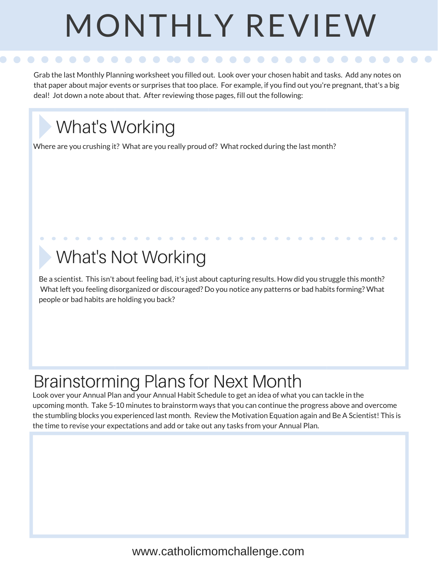# MONTHLY REVIEW

Grab the last Monthly Planning worksheet you filled out. Look over your chosen habit and tasks. Add any notes on that paper about major events or surprises that too place. For example, if you find out you're pregnant, that's a big deal! Jot down a note about that. After reviewing those pages, fill out the following:

#### What's Working

Where are you crushing it? What are you really proud of? What rocked during the last month?

#### What's Not Working

Be a scientist. This isn't about feeling bad, it's just about capturing results. How did you struggle this month? What left you feeling disorganized or discouraged? Do you notice any patterns or bad habits forming? What people or bad habits are holding you back?

#### Brainstorming Plans for Next Month

Look over your Annual Plan and your Annual Habit Schedule to get an idea of what you can tackle in the upcoming month. Take 5-10 minutes to brainstorm ways that you can continue the progress above and overcome the stumbling blocks you experienced last month. Review the Motivation Equation again and Be A Scientist! This is the time to revise your expectations and add or take out any tasks from your Annual Plan.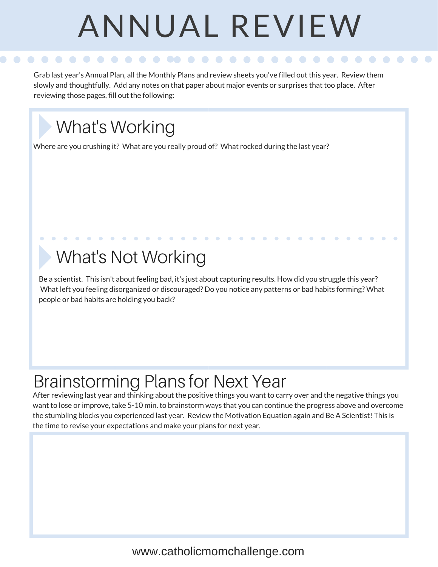# ANNUAL REVIEW

Grab last year's Annual Plan, all the Monthly Plans and review sheets you've filled out this year. Review them slowly and thoughtfully. Add any notes on that paper about major events or surprises that too place. After reviewing those pages, fill out the following:

#### What's Working

Where are you crushing it? What are you really proud of? What rocked during the last year?

#### What's Not Working

Be a scientist. This isn't about feeling bad, it's just about capturing results. How did you struggle this year? What left you feeling disorganized or discouraged? Do you notice any patterns or bad habits forming? What people or bad habits are holding you back?

#### Brainstorming Plans for Next Year

After reviewing last year and thinking about the positive things you want to carry over and the negative things you want to lose or improve, take 5-10 min. to brainstorm ways that you can continue the progress above and overcome the stumbling blocks you experienced last year. Review the Motivation Equation again and Be A Scientist! This is the time to revise your expectations and make your plans for next year.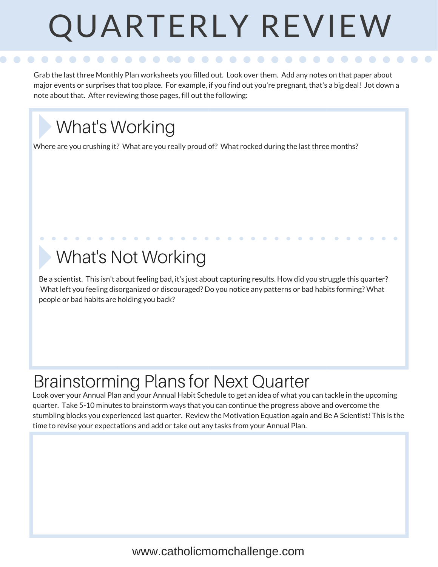# QUARTERLY REVIEW

Grab the last three Monthly Plan worksheets you filled out. Look over them. Add any notes on that paper about major events or surprises that too place. For example, if you find out you're pregnant, that's a big deal! Jot down a note about that. After reviewing those pages, fill out the following:

#### What's Working

Where are you crushing it? What are you really proud of? What rocked during the last three months?

#### What's Not Working

Be a scientist. This isn't about feeling bad, it's just about capturing results. How did you struggle this quarter? What left you feeling disorganized or discouraged? Do you notice any patterns or bad habits forming? What people or bad habits are holding you back?

#### Brainstorming Plans for Next Quarter

Look over your Annual Plan and your Annual Habit Schedule to get an idea of what you can tackle in the upcoming quarter. Take 5-10 minutes to brainstorm ways that you can continue the progress above and overcome the stumbling blocks you experienced last quarter. Review the Motivation Equation again and Be A Scientist! This is the time to revise your expectations and add or take out any tasks from your Annual Plan.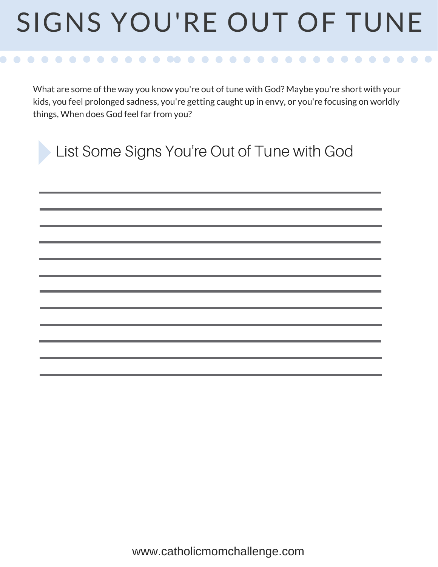## SIGNS YOU'RE OUT OF TUNE

 $\bullet$   $\bullet$   $\bullet$   $\bullet$  $\bullet$  $\bullet$   $\bullet$ 

What are some of the way you know you're out of tune with God? Maybe you're short with your kids, you feel prolonged sadness, you're getting caught up in envy, or you're focusing on worldly things, When does God feel far from you?

| List Some Signs You're Out of Tune with God |
|---------------------------------------------|
|                                             |
|                                             |
|                                             |
|                                             |
|                                             |